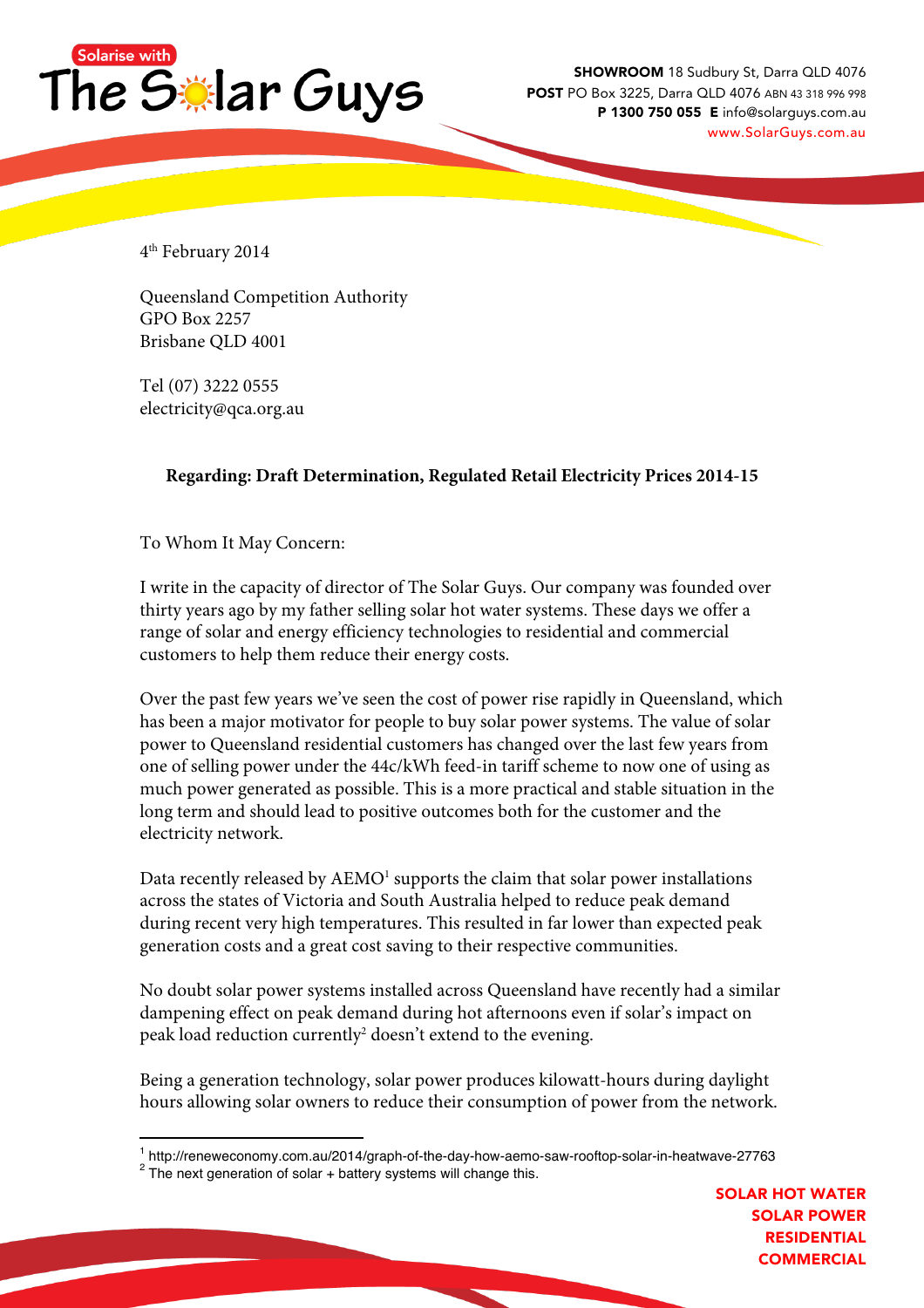

SHOWROOM 18 Sudbury St, Darra QLD 4076 POST PO Box 3225, Darra QLD 4076 ABN 43 318 996 998 P 1300 750 055 E info@solarguys.com.au www.SolarGuys.com.au

4th February 2014

Queensland Competition Authority GPO Box 2257 Brisbane QLD 4001

Tel (07) 3222 0555 electricity@qca.org.au

## **Regarding: Draft Determination, Regulated Retail Electricity Prices 2014-15**

To Whom It May Concern:

I write in the capacity of director of The Solar Guys. Our company was founded over thirty years ago by my father selling solar hot water systems. These days we offer a range of solar and energy efficiency technologies to residential and commercial customers to help them reduce their energy costs.

Over the past few years we've seen the cost of power rise rapidly in Queensland, which has been a major motivator for people to buy solar power systems. The value of solar power to Queensland residential customers has changed over the last few years from one of selling power under the 44c/kWh feed-in tariff scheme to now one of using as much power generated as possible. This is a more practical and stable situation in the long term and should lead to positive outcomes both for the customer and the electricity network.

Data recently released by AEMO<sup>1</sup> supports the claim that solar power installations across the states of Victoria and South Australia helped to reduce peak demand during recent very high temperatures. This resulted in far lower than expected peak generation costs and a great cost saving to their respective communities.

No doubt solar power systems installed across Queensland have recently had a similar dampening effect on peak demand during hot afternoons even if solar's impact on peak load reduction currently<sup>2</sup> doesn't extend to the evening.

Being a generation technology, solar power produces kilowatt-hours during daylight hours allowing solar owners to reduce their consumption of power from the network.

<sup>&</sup>lt;sup>1</sup> http://reneweconomy.com.au/2014/graph-of-the-day-how-aemo-saw-rooftop-solar-in-heatwave-27763 <sup>2</sup> The next generation of solar + battery systems will change this.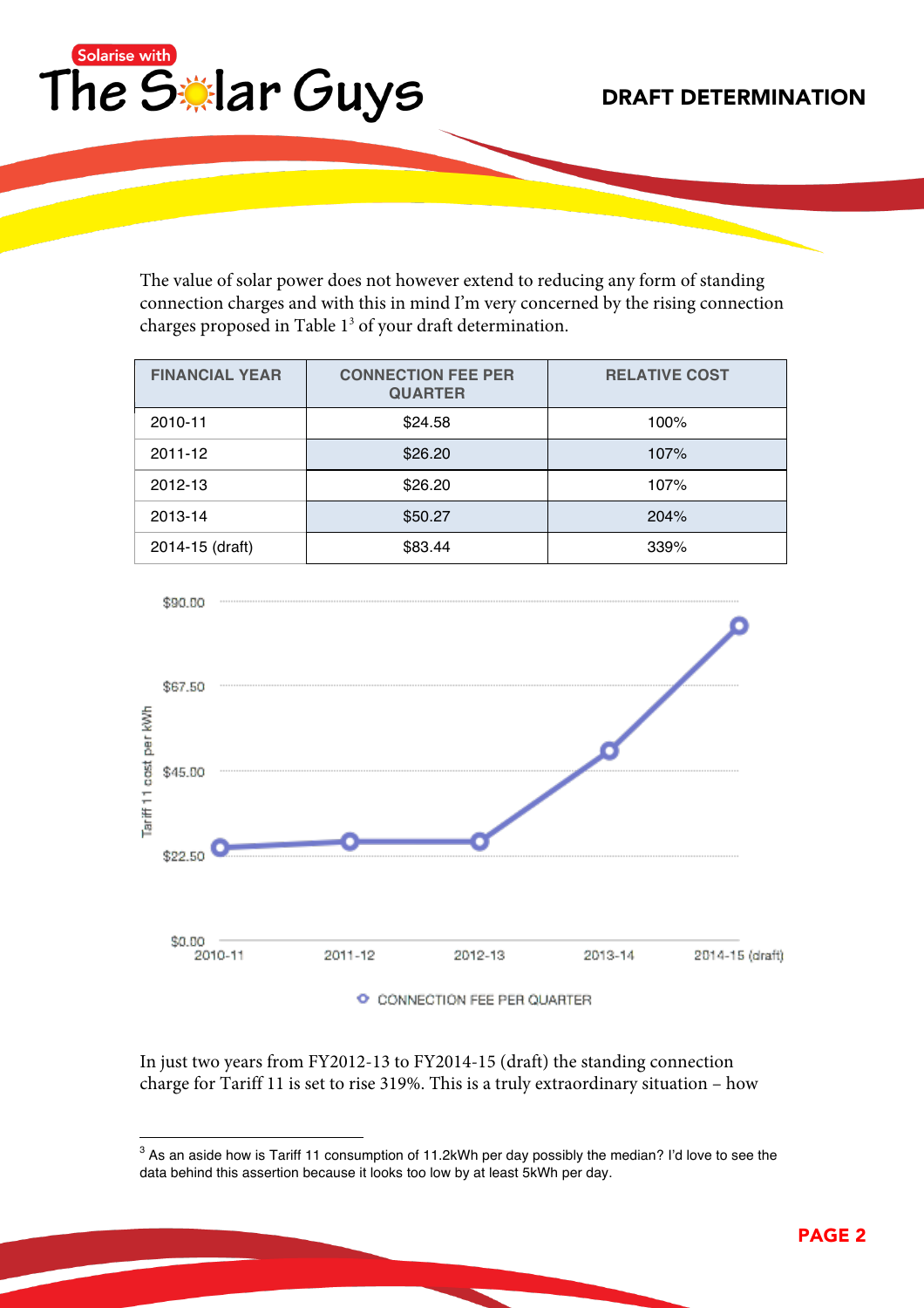

DRAFT DETERMINATION

The value of solar power does not however extend to reducing any form of standing connection charges and with this in mind I'm very concerned by the rising connection charges proposed in Table 13 of your draft determination.

| <b>FINANCIAL YEAR</b> | <b>CONNECTION FEE PER</b><br><b>QUARTER</b> | <b>RELATIVE COST</b> |
|-----------------------|---------------------------------------------|----------------------|
| 2010-11               | \$24.58                                     | 100%                 |
| 2011-12               | \$26.20                                     | 107%                 |
| 2012-13               | \$26.20                                     | 107%                 |
| 2013-14               | \$50.27                                     | 204%                 |
| 2014-15 (draft)       | \$83.44                                     | 339%                 |



In just two years from FY2012-13 to FY2014-15 (draft) the standing connection charge for Tariff 11 is set to rise 319%. This is a truly extraordinary situation – how

<sup>&</sup>lt;sup>3</sup> As an aside how is Tariff 11 consumption of 11.2kWh per day possibly the median? I'd love to see the data behind this assertion because it looks too low by at least 5kWh per day.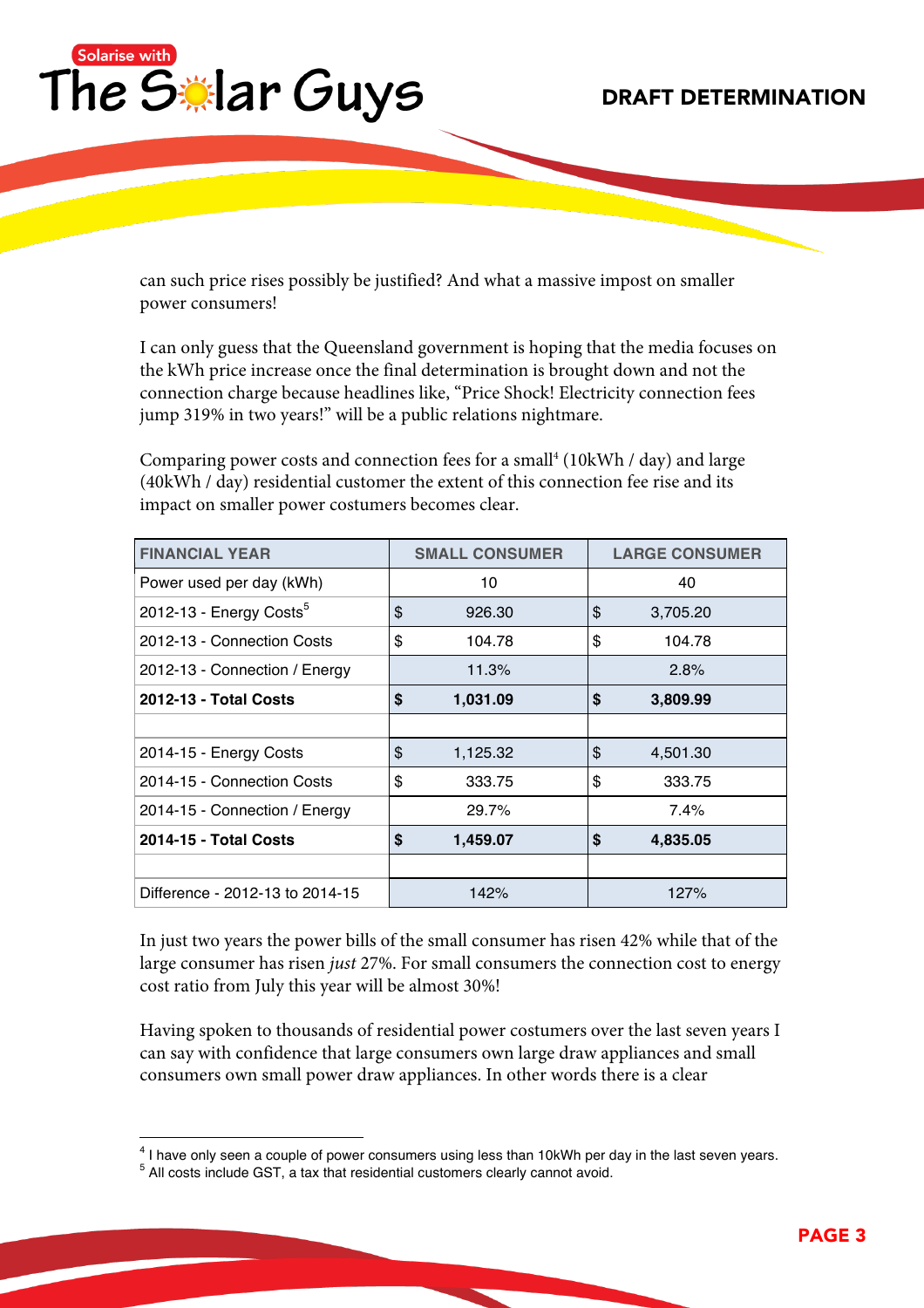

can such price rises possibly be justified? And what a massive impost on smaller power consumers!

I can only guess that the Queensland government is hoping that the media focuses on the kWh price increase once the final determination is brought down and not the connection charge because headlines like, "Price Shock! Electricity connection fees jump 319% in two years!" will be a public relations nightmare.

Comparing power costs and connection fees for a small<sup>4</sup> (10kWh / day) and large (40kWh / day) residential customer the extent of this connection fee rise and its impact on smaller power costumers becomes clear.

| <b>FINANCIAL YEAR</b>               |    | <b>SMALL CONSUMER</b> |    | <b>LARGE CONSUMER</b> |  |
|-------------------------------------|----|-----------------------|----|-----------------------|--|
| Power used per day (kWh)            |    | 10                    |    | 40                    |  |
| 2012-13 - Energy Costs <sup>5</sup> |    | 926.30                | \$ | 3,705.20              |  |
| 2012-13 - Connection Costs          |    | 104.78                | \$ | 104.78                |  |
| 2012-13 - Connection / Energy       |    | 11.3%                 |    | 2.8%                  |  |
| 2012-13 - Total Costs               |    | 1,031.09              | \$ | 3,809.99              |  |
|                                     |    |                       |    |                       |  |
| 2014-15 - Energy Costs              | \$ | 1,125.32              | \$ | 4,501.30              |  |
| 2014-15 - Connection Costs          |    | 333.75                | \$ | 333.75                |  |
| 2014-15 - Connection / Energy       |    | 29.7%                 |    | $7.4\%$               |  |
| 2014-15 - Total Costs               |    | 1,459.07              | \$ | 4,835.05              |  |
|                                     |    |                       |    |                       |  |
| Difference - 2012-13 to 2014-15     |    | 142%                  |    | 127%                  |  |

In just two years the power bills of the small consumer has risen 42% while that of the large consumer has risen *just* 27%. For small consumers the connection cost to energy cost ratio from July this year will be almost 30%!

Having spoken to thousands of residential power costumers over the last seven years I can say with confidence that large consumers own large draw appliances and small consumers own small power draw appliances. In other words there is a clear

<sup>&</sup>lt;sup>4</sup> I have only seen a couple of power consumers using less than 10kWh per day in the last seven years.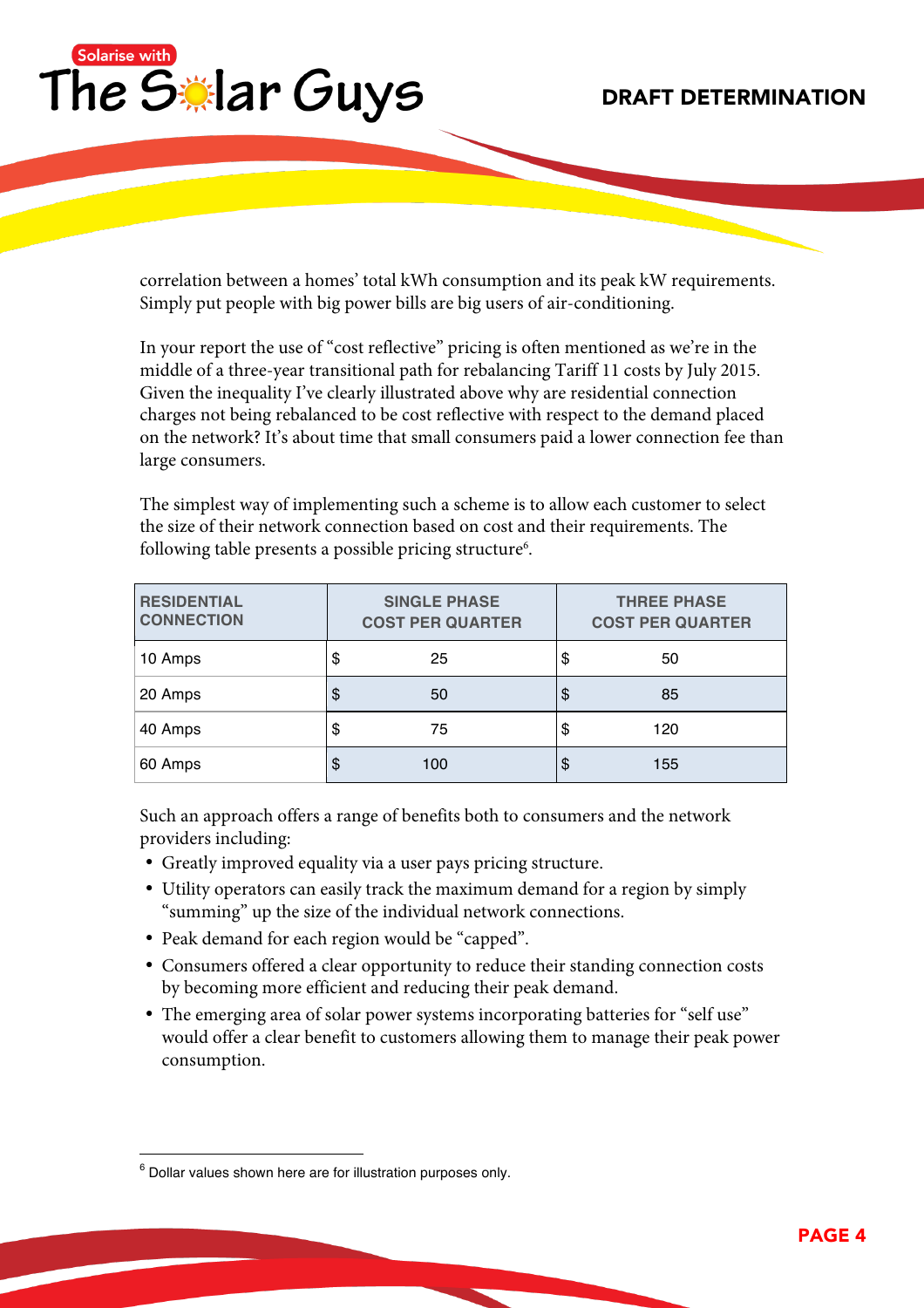

correlation between a homes' total kWh consumption and its peak kW requirements. Simply put people with big power bills are big users of air-conditioning.

In your report the use of "cost reflective" pricing is often mentioned as we're in the middle of a three-year transitional path for rebalancing Tariff 11 costs by July 2015. Given the inequality I've clearly illustrated above why are residential connection charges not being rebalanced to be cost reflective with respect to the demand placed on the network? It's about time that small consumers paid a lower connection fee than large consumers.

The simplest way of implementing such a scheme is to allow each customer to select the size of their network connection based on cost and their requirements. The following table presents a possible pricing structure $^6$ .

| <b>RESIDENTIAL</b><br><b>CONNECTION</b> | <b>SINGLE PHASE</b><br><b>COST PER QUARTER</b> |     |    | <b>THREE PHASE</b><br><b>COST PER QUARTER</b> |  |  |
|-----------------------------------------|------------------------------------------------|-----|----|-----------------------------------------------|--|--|
| 10 Amps                                 | \$                                             | 25  | S  | 50                                            |  |  |
| 20 Amps                                 | \$                                             | 50  | \$ | 85                                            |  |  |
| 40 Amps                                 | \$                                             | 75  | S  | 120                                           |  |  |
| 60 Amps                                 | Ф                                              | 100 | S  | 155                                           |  |  |

Such an approach offers a range of benefits both to consumers and the network providers including:

- Greatly improved equality via a user pays pricing structure.
- Utility operators can easily track the maximum demand for a region by simply "summing" up the size of the individual network connections.
- Peak demand for each region would be "capped".
- Consumers offered a clear opportunity to reduce their standing connection costs by becoming more efficient and reducing their peak demand.
- The emerging area of solar power systems incorporating batteries for "self use" would offer a clear benefit to customers allowing them to manage their peak power consumption.

 $6$  Dollar values shown here are for illustration purposes only.